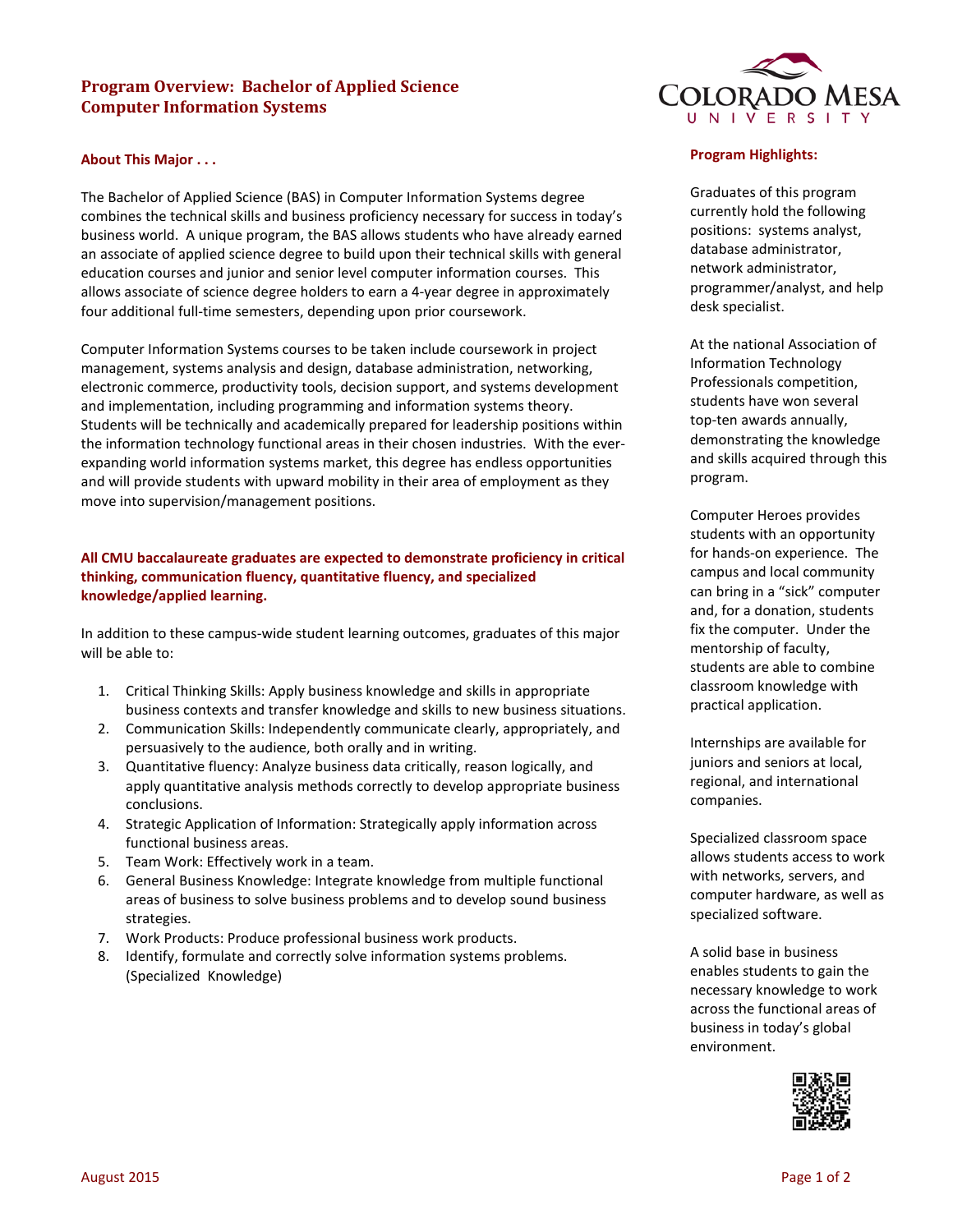# **Program Overview: Bachelor of Applied Science Computer Information Systems**



The Bachelor of Applied Science (BAS) in Computer Information Systems degree combines the technical skills and business proficiency necessary for success in today's business world. A unique program, the BAS allows students who have already earned an associate of applied science degree to build upon their technical skills with general education courses and junior and senior level computer information courses. This allows associate of science degree holders to earn a 4-year degree in approximately four additional full-time semesters, depending upon prior coursework.

Computer Information Systems courses to be taken include coursework in project management, systems analysis and design, database administration, networking, electronic commerce, productivity tools, decision support, and systems development and implementation, including programming and information systems theory. Students will be technically and academically prepared for leadership positions within the information technology functional areas in their chosen industries. With the everexpanding world information systems market, this degree has endless opportunities and will provide students with upward mobility in their area of employment as they move into supervision/management positions.

## **All CMU baccalaureate graduates are expected to demonstrate proficiency in critical thinking, communication fluency, quantitative fluency, and specialized knowledge/applied learning.**

In addition to these campus-wide student learning outcomes, graduates of this major will be able to:

- 1. Critical Thinking Skills: Apply business knowledge and skills in appropriate business contexts and transfer knowledge and skills to new business situations.
- 2. Communication Skills: Independently communicate clearly, appropriately, and persuasively to the audience, both orally and in writing.
- 3. Quantitative fluency: Analyze business data critically, reason logically, and apply quantitative analysis methods correctly to develop appropriate business conclusions.
- 4. Strategic Application of Information: Strategically apply information across functional business areas.
- 5. Team Work: Effectively work in a team.
- 6. General Business Knowledge: Integrate knowledge from multiple functional areas of business to solve business problems and to develop sound business strategies.
- 7. Work Products: Produce professional business work products.
- 8. Identify, formulate and correctly solve information systems problems. (Specialized Knowledge)



#### **Program Highlights:**

Graduates of this program currently hold the following positions: systems analyst, database administrator, network administrator, programmer/analyst, and help desk specialist.

At the national Association of Information Technology Professionals competition, students have won several top-ten awards annually, demonstrating the knowledge and skills acquired through this program.

Computer Heroes provides students with an opportunity for hands-on experience. The campus and local community can bring in a "sick" computer and, for a donation, students fix the computer. Under the mentorship of faculty, students are able to combine classroom knowledge with practical application.

Internships are available for juniors and seniors at local, regional, and international companies.

Specialized classroom space allows students access to work with networks, servers, and computer hardware, as well as specialized software.

A solid base in business enables students to gain the necessary knowledge to work across the functional areas of business in today's global environment.